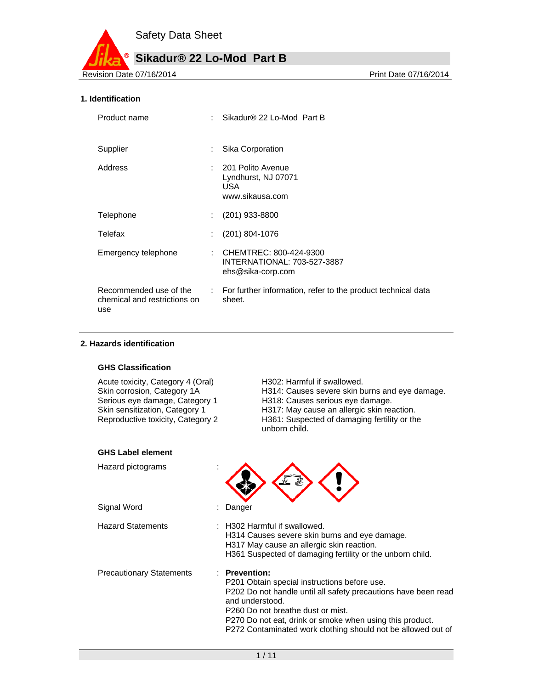

#### **1. Identification**

| Product name                                                  | Sikadur® 22 Lo-Mod Part B                                                    |
|---------------------------------------------------------------|------------------------------------------------------------------------------|
| Supplier                                                      | Sika Corporation                                                             |
| Address                                                       | : 201 Polito Avenue<br>Lyndhurst, NJ 07071<br>USA.<br>www.sikausa.com        |
| Telephone                                                     | $(201)$ 933-8800                                                             |
| Telefax                                                       | $(201)$ 804-1076                                                             |
| Emergency telephone                                           | : CHEMTREC: 800-424-9300<br>INTERNATIONAL: 703-527-3887<br>ehs@sika-corp.com |
| Recommended use of the<br>chemical and restrictions on<br>use | : For further information, refer to the product technical data<br>sheet.     |

#### **2. Hazards identification**

#### **GHS Classification**

Acute toxicity, Category 4 (Oral) H302: Harmful if swallowed.

Skin corrosion, Category 1A H314: Causes severe skin burns and eye damage.<br>Serious eye damage, Category 1 H318: Causes serious eye damage. Serious eye damage, Category 1 H318: Causes serious eye damage.<br>Skin sensitization, Category 1 H317: May cause an allergic skin rea Skin sensitization, Category 1 H317: May cause an allergic skin reaction.<br>Reproductive toxicity, Category 2 H361: Suspected of damaging fertility or the H361: Suspected of damaging fertility or the unborn child.

| <b>GHS Label element</b>        |                                                                                                                                                                                                                                                                                                                          |
|---------------------------------|--------------------------------------------------------------------------------------------------------------------------------------------------------------------------------------------------------------------------------------------------------------------------------------------------------------------------|
| Hazard pictograms               | $\lambda$                                                                                                                                                                                                                                                                                                                |
| Signal Word                     | Danger                                                                                                                                                                                                                                                                                                                   |
| <b>Hazard Statements</b>        | H302 Harmful if swallowed.<br>H314 Causes severe skin burns and eye damage.<br>H317 May cause an allergic skin reaction.<br>H361 Suspected of damaging fertility or the unborn child.                                                                                                                                    |
| <b>Precautionary Statements</b> | <b>Prevention:</b><br>P201 Obtain special instructions before use.<br>P202 Do not handle until all safety precautions have been read<br>and understood.<br>P260 Do not breathe dust or mist.<br>P270 Do not eat, drink or smoke when using this product.<br>P272 Contaminated work clothing should not be allowed out of |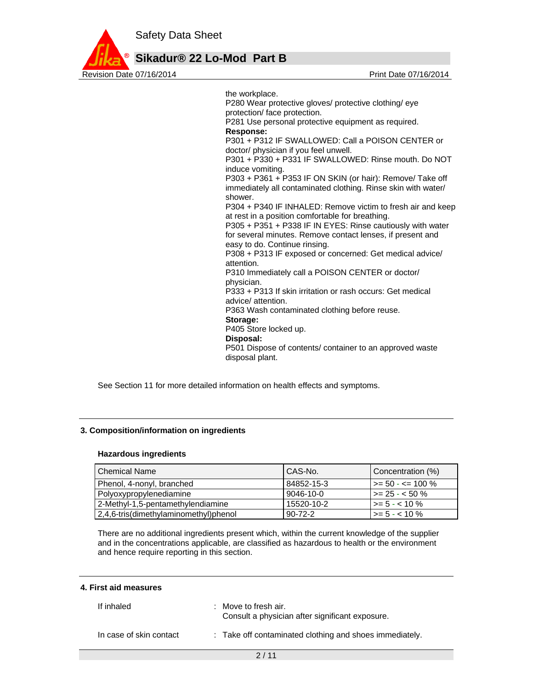

the workplace. P280 Wear protective gloves/ protective clothing/ eye protection/ face protection. P281 Use personal protective equipment as required. **Response:**  P301 + P312 IF SWALLOWED: Call a POISON CENTER or doctor/ physician if you feel unwell. P301 + P330 + P331 IF SWALLOWED: Rinse mouth. Do NOT induce vomiting. P303 + P361 + P353 IF ON SKIN (or hair): Remove/ Take off immediately all contaminated clothing. Rinse skin with water/ shower. P304 + P340 IF INHALED: Remove victim to fresh air and keep at rest in a position comfortable for breathing. P305 + P351 + P338 IF IN EYES: Rinse cautiously with water for several minutes. Remove contact lenses, if present and easy to do. Continue rinsing. P308 + P313 IF exposed or concerned: Get medical advice/ attention. P310 Immediately call a POISON CENTER or doctor/ physician. P333 + P313 If skin irritation or rash occurs: Get medical advice/ attention. P363 Wash contaminated clothing before reuse. **Storage:**  P405 Store locked up. **Disposal:**  P501 Dispose of contents/ container to an approved waste disposal plant.

See Section 11 for more detailed information on health effects and symptoms.

#### **3. Composition/information on ingredients**

#### **Hazardous ingredients**

| <b>Chemical Name</b>                  | CAS-No.         | Concentration (%)             |
|---------------------------------------|-----------------|-------------------------------|
| Phenol, 4-nonyl, branched             | 84852-15-3      | $\rightarrow$ = 50 - <= 100 % |
| Polyoxypropylenediamine               | $9046 - 10 - 0$ | $\ge$ 25 - < 50 %             |
| 2-Methyl-1,5-pentamethylendiamine     | 15520-10-2      | $\ge$ = 5 - < 10 %            |
| 2,4,6-tris(dimethylaminomethyl)phenol | $90 - 72 - 2$   | $\ge$ = 5 - < 10 %            |

There are no additional ingredients present which, within the current knowledge of the supplier and in the concentrations applicable, are classified as hazardous to health or the environment and hence require reporting in this section.

#### **4. First aid measures**

| If inhaled              | $\therefore$ Move to fresh air.<br>Consult a physician after significant exposure. |
|-------------------------|------------------------------------------------------------------------------------|
| In case of skin contact | : Take off contaminated clothing and shoes immediately.                            |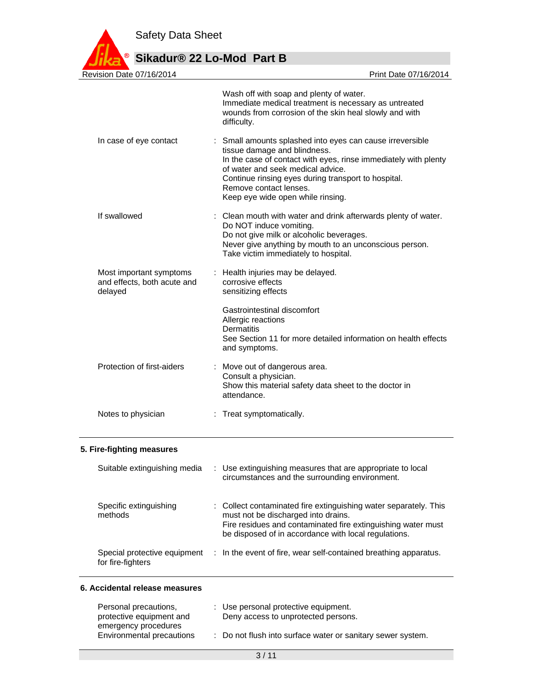

# **Sikadur® 22 Lo-Mod Part B**

| Revision Date 07/16/2014                                          | Print Date 07/16/2014                                                                                                                                                                                                                                                                                                   |
|-------------------------------------------------------------------|-------------------------------------------------------------------------------------------------------------------------------------------------------------------------------------------------------------------------------------------------------------------------------------------------------------------------|
|                                                                   | Wash off with soap and plenty of water.<br>Immediate medical treatment is necessary as untreated<br>wounds from corrosion of the skin heal slowly and with<br>difficulty.                                                                                                                                               |
| In case of eye contact                                            | : Small amounts splashed into eyes can cause irreversible<br>tissue damage and blindness.<br>In the case of contact with eyes, rinse immediately with plenty<br>of water and seek medical advice.<br>Continue rinsing eyes during transport to hospital.<br>Remove contact lenses.<br>Keep eye wide open while rinsing. |
| If swallowed                                                      | Clean mouth with water and drink afterwards plenty of water.<br>Do NOT induce vomiting.<br>Do not give milk or alcoholic beverages.<br>Never give anything by mouth to an unconscious person.<br>Take victim immediately to hospital.                                                                                   |
| Most important symptoms<br>and effects, both acute and<br>delayed | : Health injuries may be delayed.<br>corrosive effects<br>sensitizing effects                                                                                                                                                                                                                                           |
|                                                                   | Gastrointestinal discomfort<br>Allergic reactions<br><b>Dermatitis</b><br>See Section 11 for more detailed information on health effects<br>and symptoms.                                                                                                                                                               |
| Protection of first-aiders                                        | Move out of dangerous area.<br>Consult a physician.<br>Show this material safety data sheet to the doctor in<br>attendance.                                                                                                                                                                                             |
| Notes to physician                                                | : Treat symptomatically.                                                                                                                                                                                                                                                                                                |

## **5. Fire-fighting measures**

| Suitable extinguishing media                      | : Use extinguishing measures that are appropriate to local<br>circumstances and the surrounding environment.                                                                                                                    |
|---------------------------------------------------|---------------------------------------------------------------------------------------------------------------------------------------------------------------------------------------------------------------------------------|
| Specific extinguishing<br>methods                 | : Collect contaminated fire extinguishing water separately. This<br>must not be discharged into drains.<br>Fire residues and contaminated fire extinguishing water must<br>be disposed of in accordance with local regulations. |
| Special protective equipment<br>for fire-fighters | : In the event of fire, wear self-contained breathing apparatus.                                                                                                                                                                |

#### **6. Accidental release measures**

| Personal precautions,                             | : Use personal protective equipment.                        |
|---------------------------------------------------|-------------------------------------------------------------|
| protective equipment and                          | Deny access to unprotected persons.                         |
| emergency procedures<br>Environmental precautions | : Do not flush into surface water or sanitary sewer system. |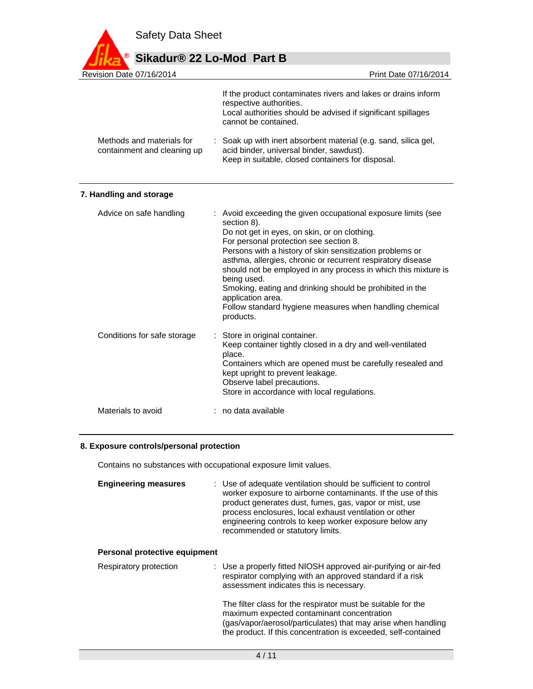

| Revision Date 07/16/2014                                 | Print Date 07/16/2014                                                                                                                                                                                                                                                                                                                                                                                                                                                                                                                       |
|----------------------------------------------------------|---------------------------------------------------------------------------------------------------------------------------------------------------------------------------------------------------------------------------------------------------------------------------------------------------------------------------------------------------------------------------------------------------------------------------------------------------------------------------------------------------------------------------------------------|
|                                                          | If the product contaminates rivers and lakes or drains inform<br>respective authorities.<br>Local authorities should be advised if significant spillages<br>cannot be contained.                                                                                                                                                                                                                                                                                                                                                            |
| Methods and materials for<br>containment and cleaning up | Soak up with inert absorbent material (e.g. sand, silica gel,<br>acid binder, universal binder, sawdust).<br>Keep in suitable, closed containers for disposal.                                                                                                                                                                                                                                                                                                                                                                              |
| 7. Handling and storage                                  |                                                                                                                                                                                                                                                                                                                                                                                                                                                                                                                                             |
| Advice on safe handling                                  | : Avoid exceeding the given occupational exposure limits (see<br>section 8).<br>Do not get in eyes, on skin, or on clothing.<br>For personal protection see section 8.<br>Persons with a history of skin sensitization problems or<br>asthma, allergies, chronic or recurrent respiratory disease<br>should not be employed in any process in which this mixture is<br>being used.<br>Smoking, eating and drinking should be prohibited in the<br>application area.<br>Follow standard hygiene measures when handling chemical<br>products. |
| Conditions for safe storage                              | Store in original container.<br>Keep container tightly closed in a dry and well-ventilated<br>place.<br>Containers which are opened must be carefully resealed and<br>kept upright to prevent leakage.<br>Observe label precautions.<br>Store in accordance with local regulations.                                                                                                                                                                                                                                                         |
| Materials to avoid                                       | no data available                                                                                                                                                                                                                                                                                                                                                                                                                                                                                                                           |

#### **8. Exposure controls/personal protection**

Contains no substances with occupational exposure limit values.

| <b>Engineering measures</b> | : Use of adequate ventilation should be sufficient to control<br>worker exposure to airborne contaminants. If the use of this<br>product generates dust, fumes, gas, vapor or mist, use<br>process enclosures, local exhaust ventilation or other<br>engineering controls to keep worker exposure below any<br>recommended or statutory limits. |
|-----------------------------|-------------------------------------------------------------------------------------------------------------------------------------------------------------------------------------------------------------------------------------------------------------------------------------------------------------------------------------------------|
|                             |                                                                                                                                                                                                                                                                                                                                                 |

#### **Personal protective equipment**

| Respiratory protection | : Use a properly fitted NIOSH approved air-purifying or air-fed<br>respirator complying with an approved standard if a risk<br>assessment indicates this is necessary.                                                                        |
|------------------------|-----------------------------------------------------------------------------------------------------------------------------------------------------------------------------------------------------------------------------------------------|
|                        | The filter class for the respirator must be suitable for the<br>maximum expected contaminant concentration<br>(gas/vapor/aerosol/particulates) that may arise when handling<br>the product. If this concentration is exceeded, self-contained |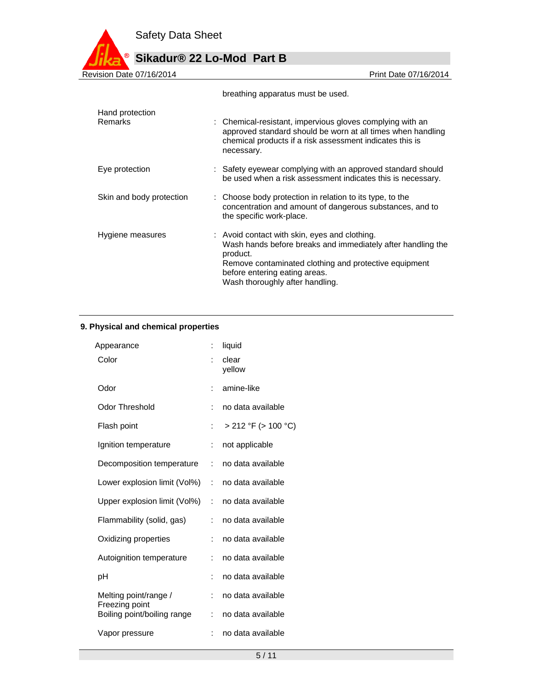$^{\circ}$ 

# **Sikadur® 22 Lo-Mod Part B**

| Revision Date 07/16/2014 | Print Date 07/16/2014                                                                                                                                                                                                                                 |
|--------------------------|-------------------------------------------------------------------------------------------------------------------------------------------------------------------------------------------------------------------------------------------------------|
|                          | breathing apparatus must be used.                                                                                                                                                                                                                     |
| Hand protection          |                                                                                                                                                                                                                                                       |
| <b>Remarks</b>           | : Chemical-resistant, impervious gloves complying with an<br>approved standard should be worn at all times when handling<br>chemical products if a risk assessment indicates this is<br>necessary.                                                    |
| Eye protection           | : Safety eyewear complying with an approved standard should<br>be used when a risk assessment indicates this is necessary.                                                                                                                            |
| Skin and body protection | Choose body protection in relation to its type, to the<br>concentration and amount of dangerous substances, and to<br>the specific work-place.                                                                                                        |
| Hygiene measures         | : Avoid contact with skin, eyes and clothing.<br>Wash hands before breaks and immediately after handling the<br>product.<br>Remove contaminated clothing and protective equipment<br>before entering eating areas.<br>Wash thoroughly after handling. |

# **9. Physical and chemical properties**

| Appearance                                    | ÷                    | liquid              |
|-----------------------------------------------|----------------------|---------------------|
| Color                                         | $\ddot{\phantom{a}}$ | clear<br>vellow     |
| Odor                                          | $\ddot{\phantom{a}}$ | amine-like          |
| Odor Threshold                                | ÷                    | no data available   |
| Flash point                                   | ÷                    | > 212 °F (> 100 °C) |
| Ignition temperature                          | İ.                   | not applicable      |
| Decomposition temperature                     | t.                   | no data available   |
| Lower explosion limit (Vol%)                  | $\mathcal{L}$        | no data available   |
| Upper explosion limit (Vol%)                  | ÷                    | no data available   |
| Flammability (solid, gas)                     | ÷                    | no data available   |
| Oxidizing properties                          | ÷                    | no data available   |
| Autoignition temperature                      | ÷.                   | no data available   |
| рH                                            | ÷                    | no data available   |
| Melting point/range /                         | $\ddot{\phantom{a}}$ | no data available   |
| Freezing point<br>Boiling point/boiling range | t.                   | no data available   |
| Vapor pressure                                |                      | no data available   |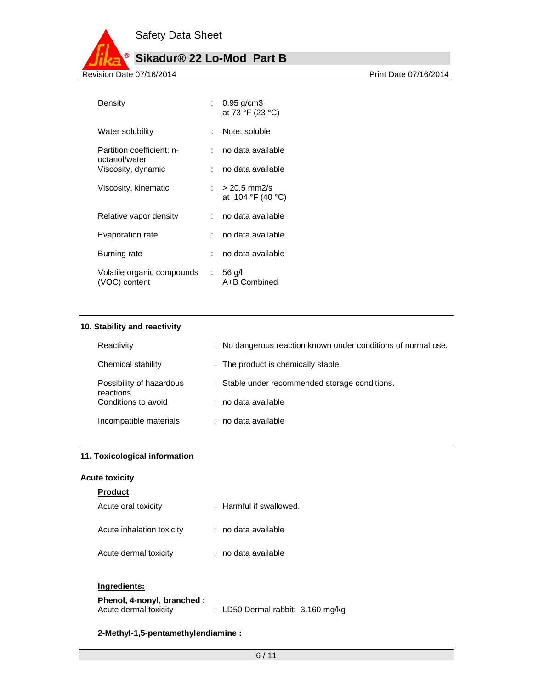

| Density                                     |   | : $0.95$ g/cm3<br>at 73 °F (23 °C)  |
|---------------------------------------------|---|-------------------------------------|
| Water solubility                            |   | Note: soluble                       |
| Partition coefficient: n-                   |   | no data available                   |
| octanol/water<br>Viscosity, dynamic         |   | no data available                   |
| Viscosity, kinematic                        | . | $> 20.5$ mm2/s<br>at 104 °F (40 °C) |
| Relative vapor density                      | . | no data available                   |
| Evaporation rate                            |   | no data available                   |
| Burning rate                                |   | no data available                   |
| Volatile organic compounds<br>(VOC) content |   | $: 56$ g/l<br>A+B Combined          |

#### **10. Stability and reactivity**

| Reactivity                            | : No dangerous reaction known under conditions of normal use. |
|---------------------------------------|---------------------------------------------------------------|
| Chemical stability                    | : The product is chemically stable.                           |
| Possibility of hazardous<br>reactions | : Stable under recommended storage conditions.                |
| Conditions to avoid                   | : no data available                                           |
| Incompatible materials                | : no data available                                           |

#### **11. Toxicological information**

#### **Acute toxicity**

### **Product**

| Acute oral toxicity       | : Harmful if swallowed. |
|---------------------------|-------------------------|
| Acute inhalation toxicity | : no data available     |
| Acute dermal toxicity     | : no data available     |

#### **Ingredients:**

| Phenol, 4-nonyl, branched : |                                     |  |
|-----------------------------|-------------------------------------|--|
| Acute dermal toxicity       | : LD50 Dermal rabbit: $3,160$ mg/kg |  |

#### **2-Methyl-1,5-pentamethylendiamine :**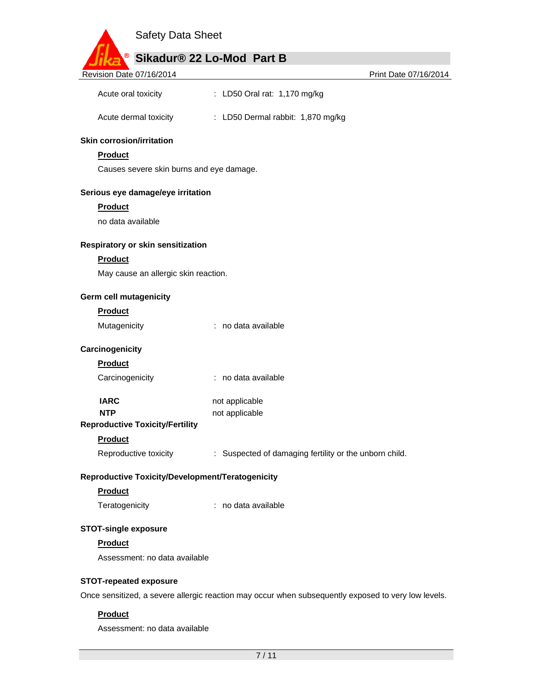| <b>Safety Data Sheet</b>                         |                                                                                                     |                       |
|--------------------------------------------------|-----------------------------------------------------------------------------------------------------|-----------------------|
|                                                  | Sikadur® 22 Lo-Mod Part B                                                                           |                       |
| Revision Date 07/16/2014                         |                                                                                                     | Print Date 07/16/2014 |
|                                                  |                                                                                                     |                       |
| Acute oral toxicity                              | : LD50 Oral rat: 1,170 mg/kg                                                                        |                       |
| Acute dermal toxicity                            | : LD50 Dermal rabbit: 1,870 mg/kg                                                                   |                       |
| <b>Skin corrosion/irritation</b>                 |                                                                                                     |                       |
| <b>Product</b>                                   |                                                                                                     |                       |
| Causes severe skin burns and eye damage.         |                                                                                                     |                       |
| Serious eye damage/eye irritation                |                                                                                                     |                       |
| <b>Product</b>                                   |                                                                                                     |                       |
| no data available                                |                                                                                                     |                       |
| Respiratory or skin sensitization                |                                                                                                     |                       |
| <b>Product</b>                                   |                                                                                                     |                       |
| May cause an allergic skin reaction.             |                                                                                                     |                       |
| Germ cell mutagenicity                           |                                                                                                     |                       |
| <b>Product</b>                                   |                                                                                                     |                       |
| Mutagenicity                                     | : no data available                                                                                 |                       |
| Carcinogenicity                                  |                                                                                                     |                       |
| <b>Product</b>                                   |                                                                                                     |                       |
| Carcinogenicity                                  | : no data available                                                                                 |                       |
| <b>IARC</b>                                      | not applicable                                                                                      |                       |
| <b>NTP</b>                                       | not applicable                                                                                      |                       |
| <b>Reproductive Toxicity/Fertility</b>           |                                                                                                     |                       |
| <b>Product</b>                                   |                                                                                                     |                       |
| Reproductive toxicity                            | : Suspected of damaging fertility or the unborn child.                                              |                       |
| Reproductive Toxicity/Development/Teratogenicity |                                                                                                     |                       |
| <b>Product</b>                                   |                                                                                                     |                       |
| Teratogenicity                                   | : no data available                                                                                 |                       |
| <b>STOT-single exposure</b>                      |                                                                                                     |                       |
| <b>Product</b>                                   |                                                                                                     |                       |
| Assessment: no data available                    |                                                                                                     |                       |
| <b>STOT-repeated exposure</b>                    |                                                                                                     |                       |
|                                                  | Once sensitized, a severe allergic reaction may occur when subsequently exposed to very low levels. |                       |
| <b>Product</b>                                   |                                                                                                     |                       |
| Assessment: no data available                    |                                                                                                     |                       |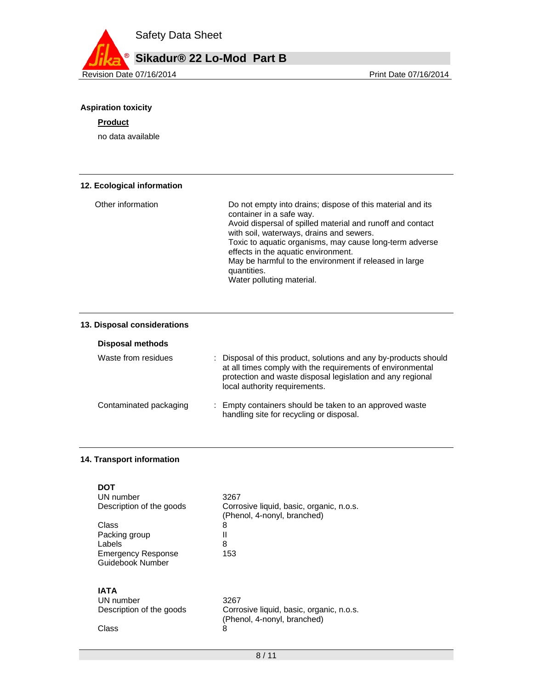

# **Aspiration toxicity**

#### **Product**

no data available

#### **12. Ecological information**

| Other information | Do not empty into drains; dispose of this material and its<br>container in a safe way.<br>Avoid dispersal of spilled material and runoff and contact<br>with soil, waterways, drains and sewers.<br>Toxic to aquatic organisms, may cause long-term adverse<br>effects in the aquatic environment.<br>May be harmful to the environment if released in large<br>quantities. |
|-------------------|-----------------------------------------------------------------------------------------------------------------------------------------------------------------------------------------------------------------------------------------------------------------------------------------------------------------------------------------------------------------------------|
|                   | Water polluting material.                                                                                                                                                                                                                                                                                                                                                   |

#### **13. Disposal considerations**

| Disposal methods       |                                                                                                                                                                                                                               |
|------------------------|-------------------------------------------------------------------------------------------------------------------------------------------------------------------------------------------------------------------------------|
| Waste from residues    | : Disposal of this product, solutions and any by-products should<br>at all times comply with the requirements of environmental<br>protection and waste disposal legislation and any regional<br>local authority requirements. |
| Contaminated packaging | : Empty containers should be taken to an approved waste<br>handling site for recycling or disposal.                                                                                                                           |

#### **14. Transport information**

| DOT<br>UN number<br>Description of the goods<br>Class<br>Packing group<br>Labels<br><b>Emergency Response</b><br>Guidebook Number | 3267<br>Corrosive liquid, basic, organic, n.o.s.<br>(Phenol, 4-nonyl, branched)<br>8<br>Ш<br>8<br>153 |
|-----------------------------------------------------------------------------------------------------------------------------------|-------------------------------------------------------------------------------------------------------|
| IATA                                                                                                                              | 3267                                                                                                  |
| UN number                                                                                                                         | Corrosive liquid, basic, organic, n.o.s.                                                              |
| Description of the goods                                                                                                          | (Phenol, 4-nonyl, branched)                                                                           |
| Class                                                                                                                             | 8                                                                                                     |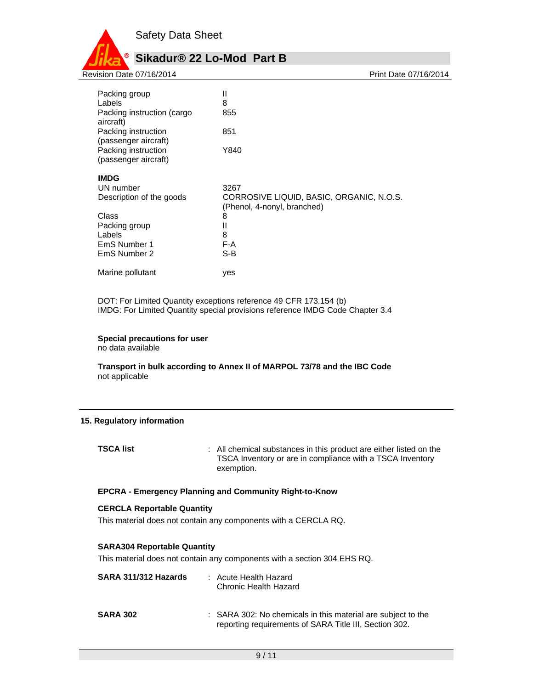

Packing group II Labels 8 Packing instruction (cargo aircraft) 855 Packing instruction (passenger aircraft) 851 Packing instruction (passenger aircraft) Y840 **IMDG**  UN number 3267 Description of the goods CORROSIVE LIQUID, BASIC, ORGANIC, N.O.S. (Phenol, 4-nonyl, branched) Class 8<br>Packing group 11 11 Packing group II<br>Labels 8 Labels 8<br>
EmS Number 1 6 F-A EmS Number 1 F-A<br>EmS Number 2 S-B EmS Number 2 Marine pollutant ves

DOT: For Limited Quantity exceptions reference 49 CFR 173.154 (b) IMDG: For Limited Quantity special provisions reference IMDG Code Chapter 3.4

#### **Special precautions for user**

no data available

**Transport in bulk according to Annex II of MARPOL 73/78 and the IBC Code**  not applicable

#### **15. Regulatory information**

**TSCA list** : All chemical substances in this product are either listed on the TSCA Inventory or are in compliance with a TSCA Inventory exemption.

#### **EPCRA - Emergency Planning and Community Right-to-Know**

#### **CERCLA Reportable Quantity**

This material does not contain any components with a CERCLA RQ.

#### **SARA304 Reportable Quantity**

This material does not contain any components with a section 304 EHS RQ.

| SARA 311/312 Hazards | : Acute Health Hazard<br>Chronic Health Hazard                                                                         |
|----------------------|------------------------------------------------------------------------------------------------------------------------|
| <b>SARA 302</b>      | : SARA 302: No chemicals in this material are subject to the<br>reporting requirements of SARA Title III, Section 302. |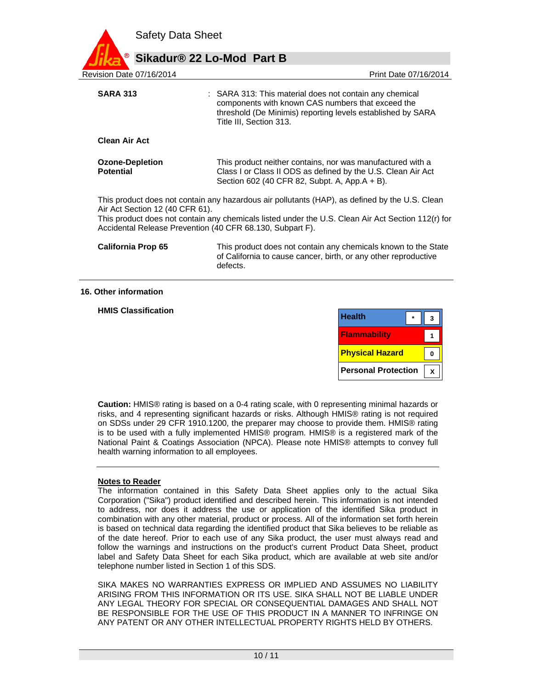| <b>Safety Data Sheet</b>                   |                                                           |                                                                                                                                                                                                      |
|--------------------------------------------|-----------------------------------------------------------|------------------------------------------------------------------------------------------------------------------------------------------------------------------------------------------------------|
|                                            | Sikadur® 22 Lo-Mod Part B                                 |                                                                                                                                                                                                      |
| Revision Date 07/16/2014                   |                                                           | Print Date 07/16/2014                                                                                                                                                                                |
| <b>SARA 313</b>                            | Title III, Section 313.                                   | : SARA 313: This material does not contain any chemical<br>components with known CAS numbers that exceed the<br>threshold (De Minimis) reporting levels established by SARA                          |
| <b>Clean Air Act</b>                       |                                                           |                                                                                                                                                                                                      |
| <b>Ozone-Depletion</b><br><b>Potential</b> | Section 602 (40 CFR 82, Subpt. A, App.A + B).             | This product neither contains, nor was manufactured with a<br>Class I or Class II ODS as defined by the U.S. Clean Air Act                                                                           |
| Air Act Section 12 (40 CFR 61).            | Accidental Release Prevention (40 CFR 68.130, Subpart F). | This product does not contain any hazardous air pollutants (HAP), as defined by the U.S. Clean<br>This product does not contain any chemicals listed under the U.S. Clean Air Act Section 112(r) for |
| <b>California Prop 65</b>                  | defects.                                                  | This product does not contain any chemicals known to the State<br>of California to cause cancer, birth, or any other reproductive                                                                    |

#### **16. Other information**

**HMIS Classification** 

| <b>Health</b>          |  |
|------------------------|--|
| <b>Flammability</b>    |  |
|                        |  |
| <b>Physical Hazard</b> |  |

**Caution:** HMIS® rating is based on a 0-4 rating scale, with 0 representing minimal hazards or risks, and 4 representing significant hazards or risks. Although HMIS® rating is not required on SDSs under 29 CFR 1910.1200, the preparer may choose to provide them. HMIS® rating is to be used with a fully implemented HMIS® program. HMIS® is a registered mark of the National Paint & Coatings Association (NPCA). Please note HMIS® attempts to convey full health warning information to all employees.

#### **Notes to Reader**

The information contained in this Safety Data Sheet applies only to the actual Sika Corporation ("Sika") product identified and described herein. This information is not intended to address, nor does it address the use or application of the identified Sika product in combination with any other material, product or process. All of the information set forth herein is based on technical data regarding the identified product that Sika believes to be reliable as of the date hereof. Prior to each use of any Sika product, the user must always read and follow the warnings and instructions on the product's current Product Data Sheet, product label and Safety Data Sheet for each Sika product, which are available at web site and/or telephone number listed in Section 1 of this SDS.

SIKA MAKES NO WARRANTIES EXPRESS OR IMPLIED AND ASSUMES NO LIABILITY ARISING FROM THIS INFORMATION OR ITS USE. SIKA SHALL NOT BE LIABLE UNDER ANY LEGAL THEORY FOR SPECIAL OR CONSEQUENTIAL DAMAGES AND SHALL NOT BE RESPONSIBLE FOR THE USE OF THIS PRODUCT IN A MANNER TO INFRINGE ON ANY PATENT OR ANY OTHER INTELLECTUAL PROPERTY RIGHTS HELD BY OTHERS.